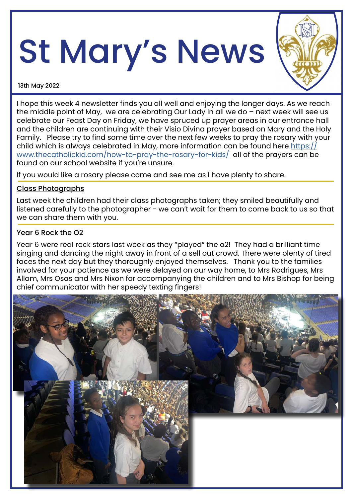# St Mary's News



13th May 2022

I hope this week 4 newsletter finds you all well and enjoying the longer days. As we reach the middle point of May, we are celebrating Our Lady in all we do – next week will see us celebrate our Feast Day on Friday, we have spruced up prayer areas in our entrance hall and the children are continuing with their Visio Divina prayer based on Mary and the Holy Family. Please try to find some time over the next few weeks to pray the rosary with your child which is always celebrated in May, more information can be found here [https://](https://www.thecatholickid.com/how-to-pray-the-rosary-for-kids/) [www.thecatholickid.com/how-to-pray-the-rosary-for-kids/](https://www.thecatholickid.com/how-to-pray-the-rosary-for-kids/) all of the prayers can be found on our school website if you're unsure.

If you would like a rosary please come and see me as I have plenty to share.

# Class Photographs

Last week the children had their class photographs taken; they smiled beautifully and listened carefully to the photographer - we can't wait for them to come back to us so that we can share them with you.

# Year 6 Rock the O<sub>2</sub>

Year 6 were real rock stars last week as they "played" the o2! They had a brilliant time singing and dancing the night away in front of a sell out crowd. There were plenty of tired faces the next day but they thoroughly enjoyed themselves. Thank you to the families involved for your patience as we were delayed on our way home, to Mrs Rodrigues, Mrs Allam, Mrs Osas and Mrs Nixon for accompanying the children and to Mrs Bishop for being chief communicator with her speedy texting fingers!